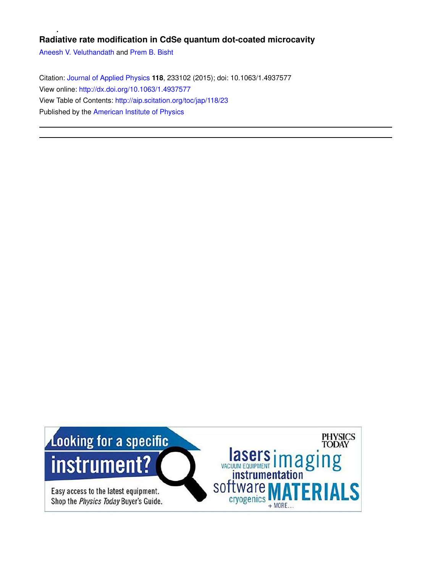# **Radiative rate modification in CdSe quantum dot-coated microcavity**

Aneesh V. Veluthandath and Prem B. Bisht

Citation: Journal of Applied Physics **118**, 233102 (2015); doi: 10.1063/1.4937577 View online: http://dx.doi.org/10.1063/1.4937577 View Table of Contents: http://aip.scitation.org/toc/jap/118/23 Published by the American Institute of Physics

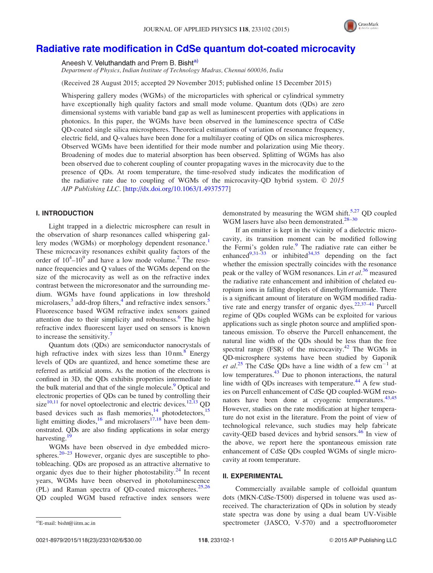

# Radiative rate modification in CdSe quantum dot-coated microcavity

Aneesh V. Veluthandath and Prem B. Bisht<sup>a)</sup>

Department of Physics, Indian Institute of Technology Madras, Chennai 600036, India

(Received 28 August 2015; accepted 29 November 2015; published online 15 December 2015)

Whispering gallery modes (WGMs) of the microparticles with spherical or cylindrical symmetry have exceptionally high quality factors and small mode volume. Quantum dots (QDs) are zero dimensional systems with variable band gap as well as luminescent properties with applications in photonics. In this paper, the WGMs have been observed in the luminescence spectra of CdSe QD-coated single silica microspheres. Theoretical estimations of variation of resonance frequency, electric field, and Q-values have been done for a multilayer coating of QDs on silica microspheres. Observed WGMs have been identified for their mode number and polarization using Mie theory. Broadening of modes due to material absorption has been observed. Splitting of WGMs has also been observed due to coherent coupling of counter propagating waves in the microcavity due to the presence of QDs. At room temperature, the time-resolved study indicates the modification of the radiative rate due to coupling of WGMs of the microcavity-QD hybrid system.  $\odot$  2015 AIP Publishing LLC. [http://dx.doi.org/10.1063/1.4937577]

# I. INTRODUCTION

Light trapped in a dielectric microsphere can result in the observation of sharp resonances called whispering gallery modes (WGMs) or morphology dependent resonance.<sup>1</sup> These microcavity resonances exhibit quality factors of the order of  $10^4$ - $10^9$  and have a low mode volume.<sup>2</sup> The resonance frequencies and Q values of the WGMs depend on the size of the microcavity as well as on the refractive index contrast between the microresonator and the surrounding medium. WGMs have found applications in low threshold microlasers,<sup>3</sup> add-drop filters,<sup>4</sup> and refractive index sensors.<sup>5</sup> Fluorescence based WGM refractive index sensors gained attention due to their simplicity and robustness.<sup>6</sup> The high refractive index fluorescent layer used on sensors is known to increase the sensitivity.<sup>7</sup>

Quantum dots (QDs) are semiconductor nanocrystals of high refractive index with sizes less than 10 nm.<sup>8</sup> Energy levels of QDs are quantized, and hence sometime these are referred as artificial atoms. As the motion of the electrons is confined in 3D, the QDs exhibits properties intermediate to the bulk material and that of the single molecule.<sup>9</sup> Optical and electronic properties of QDs can be tuned by controlling their size $10,11$  for novel optoelectronic and electric devices.<sup>12,13</sup> QD based devices such as flash memories, $14$  photodetectors, $15$ light emitting diodes,  $^{16}$  and microlasers  $^{17,18}$  have been demonstrated. QDs are also finding applications in solar energy harvesting.<sup>19</sup>

WGMs have been observed in dye embedded microspheres.<sup>20–23</sup> However, organic dyes are susceptible to photobleaching. QDs are proposed as an attractive alternative to organic dyes due to their higher photostability. $^{24}$  In recent years, WGMs have been observed in photoluminescence (PL) and Raman spectra of QD-coated microspheres. $25,26$ QD coupled WGM based refractive index sensors were demonstrated by measuring the WGM shift.<sup>5,27</sup> OD coupled WGM lasers have also been demonstrated.<sup>28–30</sup>

If an emitter is kept in the vicinity of a dielectric microcavity, its transition moment can be modified following the Fermi's golden rule.<sup>9</sup> The radiative rate can either be enhanced<sup>9,31–33</sup> or inhibited<sup>34,35</sup> depending on the fact whether the emission spectrally coincides with the resonance peak or the valley of WGM resonances. Lin et al.<sup>36</sup> measured the radiative rate enhancement and inhibition of chelated europium ions in falling droplets of dimethylformamide. There is a significant amount of literature on WGM modified radiative rate and energy transfer of organic dyes. $22,37-41$  Purcell regime of QDs coupled WGMs can be exploited for various applications such as single photon source and amplified spontaneous emission. To observe the Purcell enhancement, the natural line width of the QDs should be less than the free spectral range (FSR) of the microcavity.<sup>42</sup> The WGMs in QD-microsphere systems have been studied by Gaponik et al.<sup>25</sup> The CdSe QDs have a line width of a few  $cm^{-1}$  at low temperatures.<sup>43</sup> Due to phonon interactions, the natural line width of QDs increases with temperature.<sup>44</sup> A few studies on Purcell enhancement of CdSe QD coupled-WGM resonators have been done at cryogenic temperatures.<sup>43,45</sup> However, studies on the rate modification at higher temperature do not exist in the literature. From the point of view of technological relevance, such studies may help fabricate cavity-QED based devices and hybrid sensors.<sup>46</sup> In view of the above, we report here the spontaneous emission rate enhancement of CdSe QDs coupled WGMs of single microcavity at room temperature.

# II. EXPERIMENTAL

Commercially available sample of colloidal quantum dots (MKN-CdSe-T500) dispersed in toluene was used asreceived. The characterization of QDs in solution by steady state spectra was done by using a dual beam UV-Visible  $s<sup>a</sup>$ E-mail: bisht@iitm.ac.in spectrometer (JASCO, V-570) and a spectrofluorometer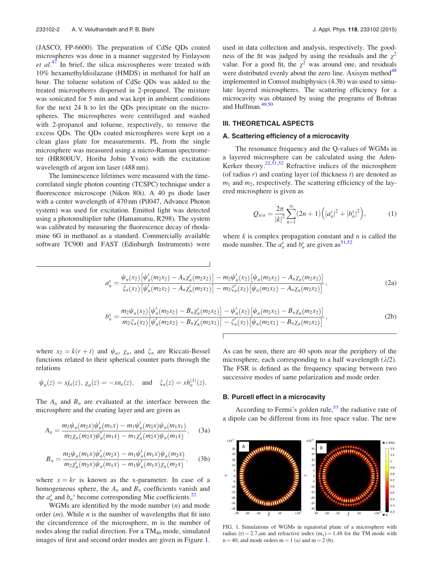(JASCO, FP-6600). The preparation of CdSe QDs coated microspheres was done in a manner suggested by Finlayson et  $al^{47}$  In brief, the silica microspheres were treated with 10% hexamethyldisilazane (HMDS) in methanol for half an hour. The toluene solution of CdSe QDs was added to the treated microspheres dispersed in 2-propanol. The mixture was sonicated for 5 min and was kept in ambient conditions for the next 24 h to let the QDs precipitate on the microspheres. The microspheres were centrifuged and washed with 2-propanol and toluene, respectively, to remove the excess QDs. The QDs coated microspheres were kept on a clean glass plate for measurements. PL from the single microsphere was measured using a micro-Raman spectrometer (HR800UV, Horiba Jobin Yvon) with the excitation wavelength of argon ion laser (488 nm).

The luminescence lifetimes were measured with the timecorrelated single photon counting (TCSPC) technique under a fluorescence microscope (Nikon 80i). A 40 ps diode laser with a center wavelength of 470 nm (Pil047, Advance Photon system) was used for excitation. Emitted light was detected using a photomultiplier tube (Hamamatsu, R298). The system was calibrated by measuring the fluorescence decay of rhodamine 6G in methanol as a standard. Commercially available software TC900 and FAST (Edinburgh Instruments) were used in data collection and analysis, respectively. The goodness of the fit was judged by using the residuals and the  $\chi^2$ value. For a good fit, the  $\chi^2$  was around one, and residuals were distributed evenly about the zero line. Axisym method $48$ implemented in Comsol multiphysics (4.3b) was used to simulate layered microspheres. The scattering efficiency for a microcavity was obtained by using the programs of Bohran and Huffman.<sup>49,50</sup>

# III. THEORETICAL ASPECTS

#### A. Scattering efficiency of a microcavity

The resonance frequency and the Q-values of WGMs in a layered microsphere can be calculated using the Aden-Kerker theory. $22,51,52$  Refractive indices of the microsphere (of radius  $r$ ) and coating layer (of thickness  $t$ ) are denoted as  $m_1$  and  $m_2$ , respectively. The scattering efficiency of the layered microsphere is given as

$$
Q_{sca} = \frac{2\pi}{|k|^2} \sum_{n=1}^{\infty} (2n+1) \left( |a_n^s|^2 + |b_n^s|^2 \right), \tag{1}
$$

where  $k$  is complex propagation constant and  $n$  is called the mode number. The  $a_n^s$  and  $b_n^s$  are given as <sup>51,52</sup>

$$
a_n^s = \frac{\psi_n(x_2) \left[ \psi_n'(m_2 x_2) - A_n \chi_n'(m_2 x_2) \right] - m_2 \psi_n'(x_2) \left[ \psi_n(m_2 x_2) - A_n \chi_n(m_2 x_2) \right]}{\xi_n(x_2) \left[ \psi_n'(m_2 x_2) - A_n \chi_n'(m_2 x_2) \right] - m_2 \xi_n'(x_2) \left[ \psi_n(m_2 x_2) - A_n \chi_n(m_2 x_2) \right]},
$$
\n(2a)

$$
b_n^s = \frac{m_2 \psi_n(x_2) \left[ \psi_n'(m_2 x_2) - B_n \chi_n'(m_2 x_2) \right] - \psi_n'(x_2) \left[ \psi_n(m_2 x_2) - B_n \chi_n(m_2 x_2) \right]}{m_2 \xi_n(x_2) \left[ \psi_n'(m_2 x_2) - B_n \chi_n'(m_2 x_2) \right] - \xi_n'(x_2) \left[ \psi_n(m_2 x_2) - B_n \chi_n(m_2 x_2) \right]},
$$
\n(2b)

where  $x_2 = k(r + t)$  and  $\psi_n$ ,  $\chi_n$ , and  $\xi_n$  are Riccati-Bessel functions related to their spherical counter parts through the relations

$$
\psi_n(z) = xj_n(z), \chi_n(z) = -xn_n(z), \text{ and } \xi_n(z) = xh_n^{(1)}(z).
$$

The  $A_n$  and  $B_n$  are evaluated at the interface between the microsphere and the coating layer and are given as

$$
A_n = \frac{m_2 \psi_n(m_2 x) \psi'_n(m_1 x) - m_1 \psi'_n(m_2 x) \psi_n(m_1 x_1)}{m_2 \chi_n(m_2 x) \psi'_n(m_1 x) - m_1 \chi'_n(m_2 x) \psi_n(m_1 x)},
$$
 (3a)

$$
B_n = \frac{m_2 \psi_n(m_1 x) \psi'_n(m_2 x) - m_1 \psi'_n(m_1 x) \psi_n(m_2 x)}{m_2 \chi'_n(m_2 x) \psi_n(m_1 x) - m_1 \psi'_n(m_1 x) \chi_n(m_2 x)},
$$
(3b)

where  $x = kr$  is known as the x-parameter. In case of a homogeneous sphere, the  $A_n$  and  $B_n$  coefficients vanish and the  $a_n^s$  and  $b_n^s$  become corresponding Mie coefficients.<sup>22</sup>

WGMs are identified by the mode number  $(n)$  and mode order  $(m)$ . While *n* is the number of wavelengths that fit into the circumference of the microsphere, m is the number of nodes along the radial direction. For a  $TM_{40}$  mode, simulated images of first and second order modes are given in Figure 1. As can be seen, there are 40 spots near the periphery of the microsphere, each corresponding to a half wavelength  $(\lambda/2)$ . The FSR is defined as the frequency spacing between two successive modes of same polarization and mode order.

#### B. Purcell effect in a microcavity

According to Fermi's golden rule,<sup>53</sup> the radiative rate of a dipole can be different from its free space value. The new



FIG. 1. Simulations of WGMs in equatorial plane of a microsphere with radius (r) = 2.7  $\mu$ m and refractive index (m<sub>1</sub>) = 1.48 for the TM mode with  $n = 40$ , and mode orders  $m = 1$  (a) and  $m = 2$  (b).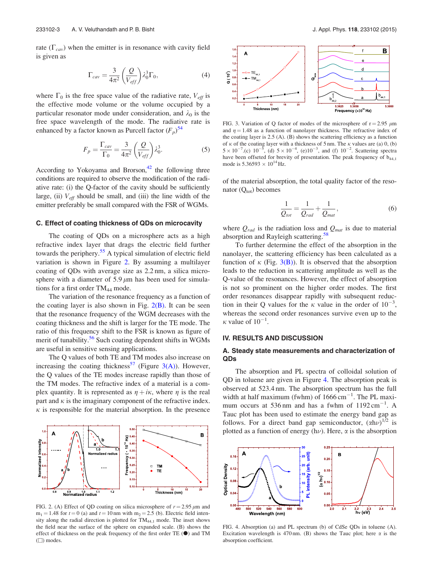rate  $(\Gamma_{cav})$  when the emitter is in resonance with cavity field is given as

$$
\Gamma_{cav} = \frac{3}{4\pi^2} \left(\frac{Q}{V_{eff}}\right) \lambda_0^3 \Gamma_0,\tag{4}
$$

where  $\Gamma_0$  is the free space value of the radiative rate,  $V_{\text{eff}}$  is the effective mode volume or the volume occupied by a particular resonator mode under consideration, and  $\lambda_0$  is the free space wavelength of the mode. The radiative rate is enhanced by a factor known as Purcell factor  $(F_p)^{54}$ 

$$
F_p = \frac{\Gamma_{cav}}{\Gamma_0} = \frac{3}{4\pi^2} \left(\frac{Q}{V_{eff}}\right) \lambda_0^3.
$$
 (5)

According to Yokoyama and Brorson, $42$  the following three conditions are required to observe the modification of the radiative rate: (i) the Q-factor of the cavity should be sufficiently large, (ii)  $V_{\text{eff}}$  should be small, and (iii) the line width of the emitter preferably be small compared with the FSR of WGMs.

#### C. Effect of coating thickness of QDs on microcavity

The coating of QDs on a microsphere acts as a high refractive index layer that drags the electric field further towards the periphery.<sup>55</sup> A typical simulation of electric field variation is shown in Figure 2. By assuming a multilayer coating of QDs with average size as 2.2 nm, a silica microsphere with a diameter of 5.9  $\mu$ m has been used for simulations for a first order  $TM_{44}$  mode.

The variation of the resonance frequency as a function of the coating layer is also shown in Fig.  $2(B)$ . It can be seen that the resonance frequency of the WGM decreases with the coating thickness and the shift is larger for the TE mode. The ratio of this frequency shift to the FSR is known as figure of merit of tunability.<sup>56</sup> Such coating dependent shifts in WGMs are useful in sensitive sensing applications.

The Q values of both TE and TM modes also increase on increasing the coating thickness<sup>57</sup> (Figure 3(A)). However, the Q values of the TE modes increase rapidly than those of the TM modes. The refractive index of a material is a complex quantity. It is represented as  $\eta + i\kappa$ , where  $\eta$  is the real part and  $\kappa$  is the imaginary component of the refractive index.  $\kappa$  is responsible for the material absorption. In the presence



FIG. 2. (A) Effect of QD coating on silica microsphere of  $r = 2.95 \mu m$  and  $m_1 = 1.48$  for  $t = 0$  (a) and  $t = 10$  nm with  $m_2 = 2.5$  (b). Electric field intensity along the radial direction is plotted for TM<sub>44,1</sub> mode. The inset shows the field near the surface of the sphere on expanded scale. (B) shows the effect of thickness on the peak frequency of the first order TE  $(①)$  and TM  $(\Box)$  modes.



FIG. 3. Variation of Q factor of modes of the microsphere of  $r = 2.95 \mu m$ and  $\eta = 1.48$  as a function of nanolayer thickness. The refractive index of the coating layer is 2.5 (A). (B) shows the scattering efficiency as a function of  $\kappa$  of the coating layer with a thickness of 5 nm. The  $\kappa$  values are (a) 0, (b)  $5 \times 10^{-7}$ .(c)  $10^{-5}$ , (d)  $5 \times 10^{-4}$ , (e) $10^{-3}$ , and (f)  $10^{-2}$ . Scattering spectra have been offseted for brevity of presentation. The peak frequency of  $b_{44,1}$ mode is  $5.36593 \times 10^{14}$  Hz.

of the material absorption, the total quality factor of the resonator  $(Q_{\text{tot}})$  becomes

$$
\frac{1}{Q_{tot}} = \frac{1}{Q_{rad}} + \frac{1}{Q_{mat}},\tag{6}
$$

where  $Q_{rad}$  is the radiation loss and  $Q_{mat}$  is due to material absorption and Rayleigh scattering.<sup>58</sup>

To further determine the effect of the absorption in the nanolayer, the scattering efficiency has been calculated as a function of  $\kappa$  (Fig. 3(B)). It is observed that the absorption leads to the reduction in scattering amplitude as well as the Q-value of the resonances. However, the effect of absorption is not so prominent on the higher order modes. The first order resonances disappear rapidly with subsequent reduction in their Q values for the  $\kappa$  value in the order of  $10^{-3}$ , whereas the second order resonances survive even up to the  $\kappa$  value of  $10^{-1}$ .

# IV. RESULTS AND DISCUSSION

# A. Steady state measurements and characterization of QDs

The absorption and PL spectra of colloidal solution of QD in toluene are given in Figure 4. The absorption peak is observed at 523.4 nm. The absorption spectrum has the full width at half maximum (fwhm) of  $1666 \text{ cm}^{-1}$ . The PL maximum occurs at 536 nm and has a fwhm of  $1192 \text{ cm}^{-1}$ . A Tauc plot has been used to estimate the energy band gap as follows. For a direct band gap semiconductor,  $(\alpha h\nu)^{1/2}$  is plotted as a function of energy ( $h\nu$ ). Here,  $\alpha$  is the absorption



FIG. 4. Absorption (a) and PL spectrum (b) of CdSe QDs in toluene (A). Excitation wavelength is 470 nm. (B) shows the Tauc plot; here  $\alpha$  is the absorption coefficient.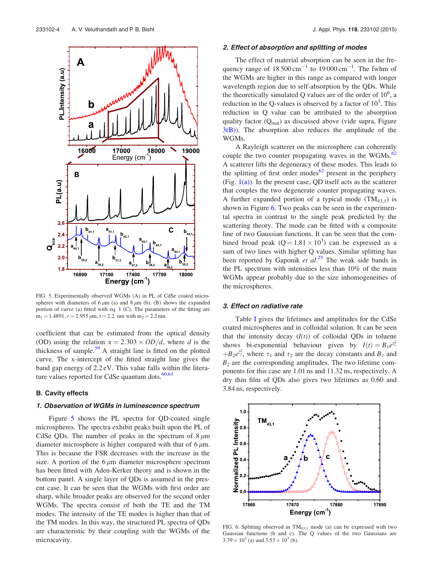

FIG. 5. Experimentally observed WGMs (A) in PL of CdSe coated microspheres with diameters of  $6 \mu m$  (a) and  $8 \mu m$  (b). (B) shows the expanded portion of curve (a) fitted with eq. 1 (C). The parameters of the fitting are  $m_1 = 1.4891$ ,  $r = 2.955 \mu m$ ,  $t = 2.2$ . nm with  $m_2 = 2.2$  nm.

coefficient that can be estimated from the optical density (OD) using the relation  $\alpha = 2.303 \times OD/d$ , where d is the thickness of sample.<sup>59</sup> A straight line is fitted on the plotted curve. The x-intercept of the fitted straight line gives the band gap energy of 2.2 eV. This value falls within the literature values reported for CdSe quantum dots. $60,61$ 

#### B. Cavity effects

# 1. Observation of WGMs in luminescence spectrum

Figure 5 shows the PL spectra for QD-coated single microspheres. The spectra exhibit peaks built upon the PL of CdSe QDs. The number of peaks in the spectrum of  $8 \mu m$ diameter microsphere is higher compared with that of  $6 \mu m$ . This is because the FSR decreases with the increase in the size. A portion of the  $6 \mu m$  diameter microsphere spectrum has been fitted with Aden-Kerker theory and is shown in the bottom panel. A single layer of QDs is assumed in the present case. It can be seen that the WGMs with first order are sharp, while broader peaks are observed for the second order WGMs. The spectra consist of both the TE and the TM modes. The intensity of the TE modes is higher than that of the TM modes. In this way, the structured PL spectra of QDs are characteristic by their coupling with the WGMs of the microcavity.

#### 2. Effect of absorption and splitting of modes

The effect of material absorption can be seen in the frequency range of  $18500 \text{ cm}^{-1}$  to  $19000 \text{ cm}^{-1}$ . The fwhm of the WGMs are higher in this range as compared with longer wavelength region due to self-absorption by the QDs. While the theoretically simulated Q values are of the order of  $10^6$ , a reduction in the Q-values is observed by a factor of  $10<sup>3</sup>$ . This reduction in Q value can be attributed to the absorption quality factor  $(Q<sub>mat</sub>)$  as discussed above (vide supra, Figure  $3(B)$ ). The absorption also reduces the amplitude of the WGMs.

A Rayleigh scatterer on the microsphere can coherently couple the two counter propagating waves in the WGMs.<sup>62</sup> A scatterer lifts the degeneracy of these modes. This leads to the splitting of first order modes<sup>62</sup> present in the periphery (Fig.  $1(a)$ ). In the present case, QD itself acts as the scatterer that couples the two degenerate counter propagating waves. A further expanded portion of a typical mode  $(TM_{43,1})$  is shown in Figure 6. Two peaks can be seen in the experimental spectra in contrast to the single peak predicted by the scattering theory. The mode can be fitted with a composite line of two Gaussian functions. It can be seen that the combined broad peak  $(Q=1.81 \times 10^3)$  can be expressed as a sum of two lines with higher Q values. Similar splitting has been reported by Gaponik et  $al.^{25}$  The weak side bands in the PL spectrum with intensities less than 10% of the main WGMs appear probably due to the size inhomogeneities of the microspheres.

# 3. Effect on radiative rate

Table I gives the lifetimes and amplitudes for the CdSe coated microspheres and in colloidal solution. It can be seen that the intensity decay  $(I(t))$  of colloidal QDs in toluene shows bi-exponential behaviour given by  $I(t) = B_1 e^{\frac{-t}{\epsilon_1}}$  $+ B_2 e^{\frac{-t}{2}}$ , where  $\tau_1$  and  $\tau_2$  are the decay constants and  $B_1$  and  $B_2$  are the corresponding amplitudes. The two lifetime components for this case are 1.01 ns and 11.32 ns, respectively. A dry thin film of QDs also gives two lifetimes as 0.60 and 3.84 ns, respectively.



FIG. 6. Splitting observed in  $TM_{43,1}$  mode (a) can be expressed with two Gaussian functions (b and c). The Q values of the two Gaussians are  $3.79 \times 10^3$  (a) and  $3.53 \times 10^3$  (b).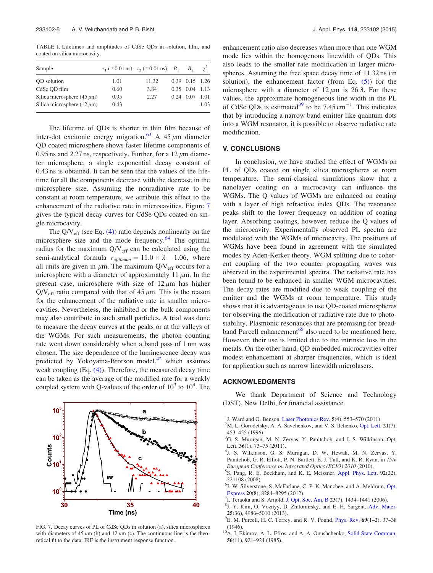TABLE I. Lifetimes and amplitudes of CdSe QDs in solution, film, and coated on silica microcavity.

| Sample                          |      | $\tau_1 (\pm 0.01 \text{ ns}) \quad \tau_2 (\pm 0.01 \text{ ns}) \quad B_1$ | $B_{2}$            |      |
|---------------------------------|------|-----------------------------------------------------------------------------|--------------------|------|
| OD solution                     | 1.01 | 11.32                                                                       | 0.39 0.15 1.26     |      |
| CdSe OD film                    | 0.60 | 3.84                                                                        | $0.35$ $0.04$ 1.13 |      |
| Silica microsphere (45 $\mu$ m) | 0.95 | 2.27                                                                        | $0.24$ 0.07        | 1.01 |
| Silica microsphere $(12 \mu m)$ | 0.43 |                                                                             |                    | 1.03 |

The lifetime of QDs is shorter in thin film because of inter-dot excitonic energy migration.<sup>63</sup> A 45  $\mu$ m diameter QD coated microsphere shows faster lifetime components of 0.95 ns and 2.27 ns, respectively. Further, for a 12  $\mu$ m diameter microsphere, a single exponential decay constant of 0.43 ns is obtained. It can be seen that the values of the lifetime for all the components decrease with the decrease in the microsphere size. Assuming the nonradiative rate to be constant at room temperature, we attribute this effect to the enhancement of the radiative rate in microcavities. Figure 7 gives the typical decay curves for CdSe QDs coated on single microcavity.

The  $Q/V_{\text{eff}}$  (see Eq. (4)) ratio depends nonlinearly on the microsphere size and the mode frequency. $64$  The optimal radius for the maximum  $Q/V_{eff}$  can be calculated using the semi-analytical formula  $r_{optimum} = 11.0 \times \lambda - 1.06$ , where all units are given in  $\mu$ m. The maximum Q/V<sub>eff</sub> occurs for a microsphere with a diameter of approximately 11  $\mu$ m. In the present case, microsphere with size of  $12 \mu m$  has higher  $Q/V_{\text{eff}}$  ratio compared with that of 45  $\mu$ m. This is the reason for the enhancement of the radiative rate in smaller microcavities. Nevertheless, the inhibited or the bulk components may also contribute in such small particles. A trial was done to measure the decay curves at the peaks or at the valleys of the WGMs. For such measurements, the photon counting rate went down considerably when a band pass of 1 nm was chosen. The size dependence of the luminescence decay was predicted by Yokoyama-Brorson model, $^{42}$  which assumes weak coupling (Eq. (4)). Therefore, the measured decay time can be taken as the average of the modified rate for a weakly coupled system with Q-values of the order of  $10^3$  to  $10^4$ . The



FIG. 7. Decay curves of PL of CdSe QDs in solution (a), silica microspheres with diameters of 45  $\mu$ m (b) and 12  $\mu$ m (c). The continuous line is the theoretical fit to the data. IRF is the instrument response function.

enhancement ratio also decreases when more than one WGM mode lies within the homogenous linewidth of QDs. This also leads to the smaller rate modification in larger microspheres. Assuming the free space decay time of 11.32 ns (in solution), the enhancement factor (from Eq.  $(5)$ ) for the microsphere with a diameter of  $12 \mu m$  is 26.3. For these values, the approximate homogeneous line width in the PL of CdSe QDs is estimated<sup>39</sup> to be 7.45 cm<sup>-1</sup>. This indicates that by introducing a narrow band emitter like quantum dots into a WGM resonator, it is possible to observe radiative rate modification.

#### V. CONCLUSIONS

In conclusion, we have studied the effect of WGMs on PL of QDs coated on single silica microspheres at room temperature. The semi-classical simulations show that a nanolayer coating on a microcavity can influence the WGMs. The Q values of WGMs are enhanced on coating with a layer of high refractive index QDs. The resonance peaks shift to the lower frequency on addition of coating layer. Absorbing coatings, however, reduce the Q values of the microcavity. Experimentally observed PL spectra are modulated with the WGMs of microcavity. The positions of WGMs have been found in agreement with the simulated modes by Aden-Kerker theory. WGM splitting due to coherent coupling of the two counter propagating waves was observed in the experimental spectra. The radiative rate has been found to be enhanced in smaller WGM microcavities. The decay rates are modified due to weak coupling of the emitter and the WGMs at room temperature. This study shows that it is advantageous to use QD-coated microspheres for observing the modification of radiative rate due to photostability. Plasmonic resonances that are promising for broadband Purcell enhancement<sup>65</sup> also need to be mentioned here. However, their use is limited due to the intrinsic loss in the metals. On the other hand, QD embedded microcavities offer modest enhancement at sharper frequencies, which is ideal for application such as narrow linewidth microlasers.

#### ACKNOWLEDGMENTS

We thank Department of Science and Technology (DST), New Delhi, for financial assistance.

- <sup>1</sup>J. Ward and O. Benson, Laser Photonics Rev. 5(4), 553-570 (2011).
- $2<sup>2</sup>M$ . L. Gorodetsky, A. A. Savchenkov, and V. S. Ilchenko, Opt. Lett. 21(7), 453–455 (1996).
- <sup>3</sup>G. S. Murugan, M. N. Zervas, Y. Panitchob, and J. S. Wilkinson, Opt. Lett. 36(1), 73-75 (2011).
- 4 J. S. Wilkinson, G. S. Murugan, D. W. Hewak, M. N. Zervas, Y. Panitchob, G. R. Elliott, P. N. Bartlett, E. J. Tull, and K. R. Ryan, in 15th European Conference on Integrated Optics (ECIO) 2010 (2010).
- 5 S. Pang, R. E. Beckham, and K. E. Meissner, Appl. Phys. Lett. 92(22), 221108 (2008).
- 6 J. W. Silverstone, S. McFarlane, C. P. K. Manchee, and A. Meldrum, Opt. Express 20(8), 8284–8295 (2012).
- <sup>7</sup>I. Teraoka and S. Arnold, J. Opt. Soc. Am. B 23(7), 1434–1441 (2006).
- 8 J. Y. Kim, O. Voznyy, D. Zhitomirsky, and E. H. Sargent, Adv. Mater. 25(36), 4986–5010 (2013).
- $^{9}$ E. M. Purcell, H. C. Torrey, and R. V. Pound, *Phys. Rev.* 69(1–2), 37–38 (1946).
- <sup>10</sup>A. I. Ekimov, A. L. Efros, and A. A. Onushchenko, Solid State Commun. 56(11), 921–924 (1985).